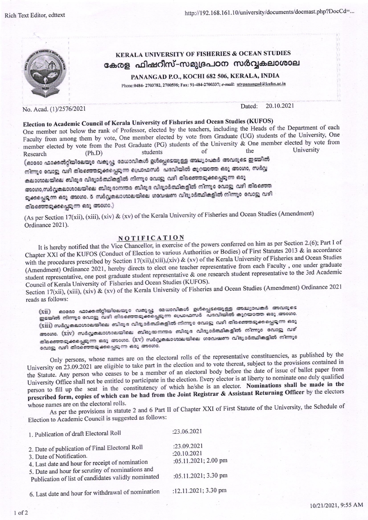

No. Acad. (1)/2576/2021

20.10.2021 Dated:

## Election to Academic Council of Kerala University of Fisheries and Ocean Studies (KUFOS)

One member not below the rank of Professor, elected by the teachers, including the Heads of the Department of each Faculty from among them by vote, One member elected by vote from Graduate (UG) students of the University, One member elected by vote from the Post Graduate (PG) students of the University & One member elected by vote from University the of students  $(Ph.D)$ Research

(ഓരോ ഫാക്കൽറ്റിയിലേയും വകുപ്പു മേധാവികൾ ഉൾപ്പെടെയുള്ള അദ്ധ്യാപകർ അവരുടെ ഇടയിൽ നിന്നുo വോട്ടു വഴി തിരഞ്ഞെടുക്കപ്പെടുന്ന ഫ്രൊഫസർ പദവിയിൽ കുറയാത്ത ഒരു അശാ, സർവ്വ കലാശാലയിലെ ബിരുദ വിദ്യാർത്ഥികളിൽ നിന്നുo വോട്ടു വഴി തിരഞ്ഞെടുക്കപ്പെടുന്ന ഒരു അശാ,സർവ്വകലാശാലയിലെ ബിരുദാനന്തര ബിരുദ വിദ്യാർത്ഥികളിൽ നിന്നുo വോട്ടു വഴി തിരഞ്ഞെ ടുക്കപ്പെടുന്ന ഒരു അശാ. 6 സർവ്വകലാശാലയിലെ ഗവേഷണ വിദ്യാർത്ഥികളിൽ നിന്നുo ഡോട്ടു വഴി തിരഞ്ഞെടുക്കപ്പെടുന്ന ഒരു അശോ.)

(As per Section 17(xii), (xiii), (xiv) & (xv) of the Kerala University of Fisheries and Ocean Studies (Amendment) Ordinance 2021).

## NOTIFICATION

It is hereby notified that the Vice Chancellor, in exercise of the powers conferred on him as per Section 2.(6); Part I of Chapter XXI of the KUFOS (Conduct of Election to various Authorities or Bodies) of First Statutes 2013 & in accordance with the procedures prescribed by Section 17(xii),(xiii),(xiv) & (xv) of the Kerala University of Fisheries and Ocean Studies (Amendment) Ordinance 2021, hereby directs to elect one teacher representative from each Faculty, one under graduate student representative, one post graduate student representative & one research student representative to the 3rd Academic Council of Kerala University of Fisheries and Ocean Studies (KUFOS).

Section 17(xii), (xiii), (xiv) & (xv) of the Kerala University of Fisheries and Ocean Studies (Amendment) Ordinance 2021 reads as follows:

ഒാരോ ഫാക്കുത്റ്റിയിലേയുo വരുപ്പു മേധാവികൾ ഉൾപ്പെടയുെള്ള അദ്ധ്യാപകർ അവരുടെ ഇടയിൽ നിന്നുo ഡോട്ടു വഴി തിരഞ്ഞെടുക്കപ്പെടുന്ന ഫ്രൊഫസർ പദവിയിൽ കുറയാത്ത ഒരു അoഗo.  $(xii)$ (Xiii) സർവ്വകലാശാലയിലെ ബിമൂദ വിദ്യാർത്ഥികളിൽ നിന്നുo വോട്ടു വഴി തിരഞ്ഞെടുക്കപ്പെടുന്ന ഒരു അശോ. (xiv) സർവ്വകലാശാലയിലെ ബിമൂതനന്തര ബിരൂദ വിദ്യാർത്ഥികളിൽ നിന്നുo ഡോട്ടു വഴി തിരഞ്ഞെടുക്കപ്പെടുന്ന ഒരു അശാ. (XV) സർവ്വകലാശാലയിലെ ഗവേഷണ വിദ്യാർത്ഥികളിൽ നിന്നുo വോട്ടു വഴി തിരഞ്ഞെടുക്കപ്പെടുന്ന ഒരു അശാ.

Only persons, whose names are on the electoral rolls of the representative constituencies, as published by the University on 23.09.2021 are eligible to take part in the election and to vote thereat, subject to the provisions contained in the Statute. Any person who ceases to be a member of an electoral body before the date of issue of ballot paper from University Office shall not be entitled to participate in the election. Every elector is at liberty to nominate one duly qualified person to fill up the seat in the constitutency of which he/she is an elector. Nominations shall be made in the prescribed form, copies of which can be had from the Joint Registrar & Assistant Returning Officer by the electors whose names are on the electoral rolls.

As per the provisions in statute 2 and 6 Part II of Chapter XXI of First Statute of the University, the Schedule of Election to Academic Council is suggested as follows:

| 1. Publication of draft Electoral Roll                                                                                        | :23.06.2021                                        |
|-------------------------------------------------------------------------------------------------------------------------------|----------------------------------------------------|
| 2. Date of publication of Final Electoral Roll<br>3. Date of Notification.<br>4. Last date and hour for receipt of nomination | :23.09.2021<br>:20.10.2021<br>:05.11.2021; 2.00 pm |
| 5. Date and hour for scrutiny of nominations and<br>Publication of list of candidates validly nominated                       | :05.11.2021; 3.30 pm                               |
| 6. Last date and hour for withdrawal of nomination                                                                            | :12.11.2021; 3.30 pm                               |